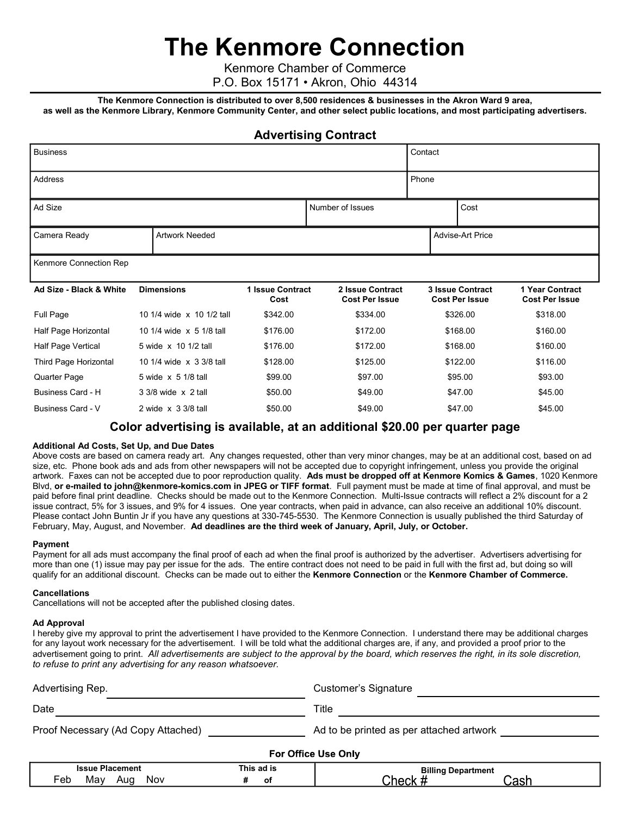# The Kenmore Connection

Kenmore Chamber of Commerce

P.O. Box 15171 • Akron, Ohio 44314

The Kenmore Connection is distributed to over 8,500 residences & businesses in the Akron Ward 9 area, as well as the Kenmore Library, Kenmore Community Center, and other select public locations, and most participating advertisers.

### Advertising Contract

| <b>Business</b>                     |                                      |                            |                          |  |         |                                           | Contact  |                  |                                                  |  |                                          |
|-------------------------------------|--------------------------------------|----------------------------|--------------------------|--|---------|-------------------------------------------|----------|------------------|--------------------------------------------------|--|------------------------------------------|
| Address                             |                                      |                            |                          |  |         |                                           | Phone    |                  |                                                  |  |                                          |
| Ad Size<br>Cost<br>Number of Issues |                                      |                            |                          |  |         |                                           |          |                  |                                                  |  |                                          |
| Camera Ready                        |                                      | <b>Artwork Needed</b>      |                          |  |         |                                           |          | Advise-Art Price |                                                  |  |                                          |
| Kenmore Connection Rep              |                                      |                            |                          |  |         |                                           |          |                  |                                                  |  |                                          |
| Ad Size - Black & White             |                                      | <b>Dimensions</b>          | 1 Issue Contract<br>Cost |  |         | 2 Issue Contract<br><b>Cost Per Issue</b> |          |                  | <b>3 Issue Contract</b><br><b>Cost Per Issue</b> |  | 1 Year Contract<br><b>Cost Per Issue</b> |
| Full Page                           |                                      | 10 1/4 wide x 10 1/2 tall  | \$342.00                 |  |         | \$334.00                                  |          | \$326.00         |                                                  |  | \$318.00                                 |
| Half Page Horizontal                | 10 1/4 wide x 5 1/8 tall             |                            | \$176.00                 |  |         | \$172.00                                  |          | \$168.00         |                                                  |  | \$160.00                                 |
| Half Page Vertical                  |                                      | 5 wide x 10 1/2 tall       | \$176.00                 |  |         | \$172.00                                  |          |                  | \$168.00                                         |  | \$160.00                                 |
| Third Page Horizontal               | 10 1/4 wide x 3 3/8 tall<br>\$128.00 |                            | \$125.00                 |  |         |                                           | \$122.00 |                  | \$116.00                                         |  |                                          |
| Quarter Page                        | 5 wide x 5 1/8 tall<br>\$99.00       |                            | \$97.00                  |  |         |                                           | \$95.00  |                  | \$93.00                                          |  |                                          |
| Business Card - H                   |                                      | 3 3/8 wide x 2 tall        | \$50.00                  |  |         | \$49.00                                   |          |                  | \$47.00                                          |  | \$45.00                                  |
| Business Card - V                   |                                      | 2 wide $\times$ 3 3/8 tall | \$50.00                  |  | \$49.00 |                                           |          |                  | \$47.00                                          |  | \$45.00                                  |

## Color advertising is available, at an additional \$20.00 per quarter page

#### Additional Ad Costs, Set Up, and Due Dates

Above costs are based on camera ready art. Any changes requested, other than very minor changes, may be at an additional cost, based on ad size, etc. Phone book ads and ads from other newspapers will not be accepted due to copyright infringement, unless you provide the original artwork. Faxes can not be accepted due to poor reproduction quality. Ads must be dropped off at Kenmore Komics & Games, 1020 Kenmore Blvd, or e-mailed to john@kenmore-komics.com in JPEG or TIFF format. Full payment must be made at time of final approval, and must be paid before final print deadline. Checks should be made out to the Kenmore Connection. Multi-Issue contracts will reflect a 2% discount for a 2 issue contract, 5% for 3 issues, and 9% for 4 issues. One year contracts, when paid in advance, can also receive an additional 10% discount. Please contact John Buntin Jr if you have any questions at 330-745-5530. The Kenmore Connection is usually published the third Saturday of February, May, August, and November. Ad deadlines are the third week of January, April, July, or October.

#### Payment

Payment for all ads must accompany the final proof of each ad when the final proof is authorized by the advertiser. Advertisers advertising for more than one (1) issue may pay per issue for the ads. The entire contract does not need to be paid in full with the first ad, but doing so will qualify for an additional discount. Checks can be made out to either the Kenmore Connection or the Kenmore Chamber of Commerce.

#### **Cancellations**

Cancellations will not be accepted after the published closing dates.

#### Ad Approval

I hereby give my approval to print the advertisement I have provided to the Kenmore Connection. I understand there may be additional charges for any layout work necessary for the advertisement. I will be told what the additional charges are, if any, and provided a proof prior to the advertisement going to print. All advertisements are subject to the approval by the board, which reserves the right, in its sole discretion, to refuse to print any advertising for any reason whatsoever.

| Advertising Rep.                   | Customer's Signature                     |  |  |  |
|------------------------------------|------------------------------------------|--|--|--|
| Date                               | Title                                    |  |  |  |
| Proof Necessary (Ad Copy Attached) | Ad to be printed as per attached artwork |  |  |  |
| <b>For Office Use Only</b>         |                                          |  |  |  |

| ההו<br><br>.                                           | ad is<br><b>This</b><br>. | Billir<br>oartment<br>ıю |
|--------------------------------------------------------|---------------------------|--------------------------|
| Nov<br>۵Ł<br>17 O<br>∴∖∪⊵<br><b>Len</b><br>.via<br>. . | וס                        | .                        |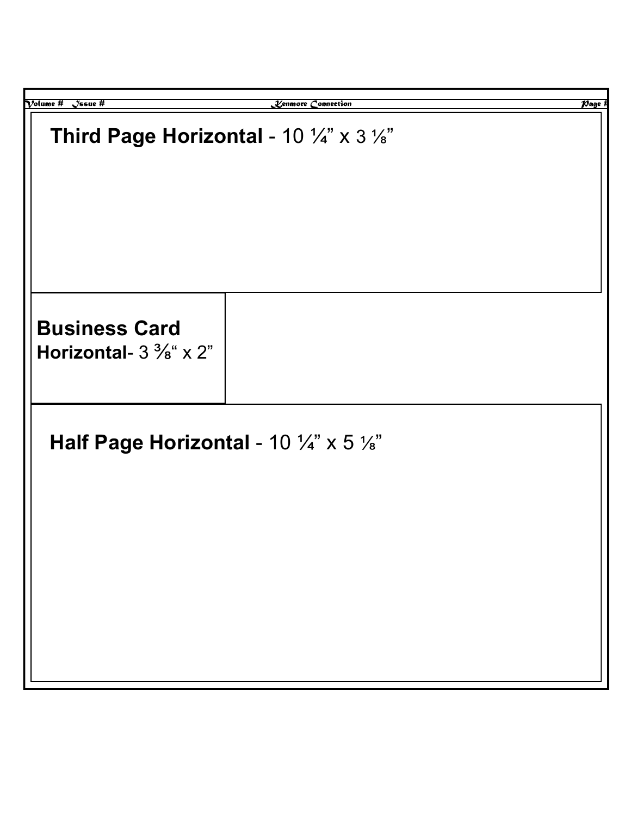| $\mathcal V$ olume #<br>$\sqrt{2}$ ssue #<br>Lenmore Connection | $\overline{\mathcal{P}$ age f |
|-----------------------------------------------------------------|-------------------------------|
| Third Page Horizontal - 10 $\frac{1}{4}$ " x 3 $\frac{1}{8}$ "  |                               |
| <b>Business Card</b><br>Horizontal- $3\frac{3}{8}$ " x 2"       |                               |
| Half Page Horizontal - 10 $\frac{1}{4}$ " x 5 $\frac{1}{8}$ "   |                               |